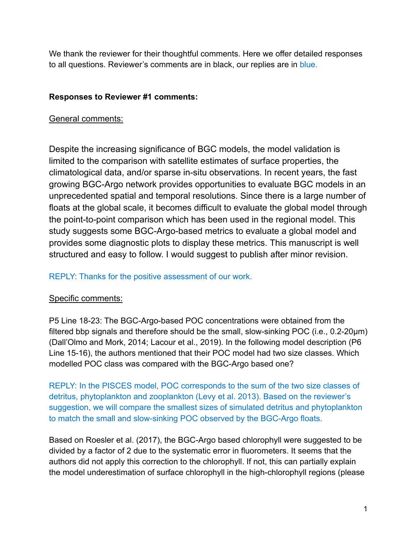We thank the reviewer for their thoughtful comments. Here we offer detailed responses to all questions. Reviewer's comments are in black, our replies are in blue.

### **Responses to Reviewer #1 comments:**

## General comments:

Despite the increasing significance of BGC models, the model validation is limited to the comparison with satellite estimates of surface properties, the climatological data, and/or sparse in-situ observations. In recent years, the fast growing BGC-Argo network provides opportunities to evaluate BGC models in an unprecedented spatial and temporal resolutions. Since there is a large number of floats at the global scale, it becomes difficult to evaluate the global model through the point-to-point comparison which has been used in the regional model. This study suggests some BGC-Argo-based metrics to evaluate a global model and provides some diagnostic plots to display these metrics. This manuscript is well structured and easy to follow. I would suggest to publish after minor revision.

#### REPLY: Thanks for the positive assessment of our work.

## Specific comments:

P5 Line 18-23: The BGC-Argo-based POC concentrations were obtained from the filtered bbp signals and therefore should be the small, slow-sinking POC (i.e., 0.2-20μm) (Dall'Olmo and Mork, 2014; Lacour et al., 2019). In the following model description (P6 Line 15-16), the authors mentioned that their POC model had two size classes. Which modelled POC class was compared with the BGC-Argo based one?

REPLY: In the PISCES model, POC corresponds to the sum of the two size classes of detritus, phytoplankton and zooplankton (Levy et al. 2013). Based on the reviewer's suggestion, we will compare the smallest sizes of simulated detritus and phytoplankton to match the small and slow-sinking POC observed by the BGC-Argo floats.

Based on Roesler et al. (2017), the BGC-Argo based chlorophyll were suggested to be divided by a factor of 2 due to the systematic error in fluorometers. It seems that the authors did not apply this correction to the chlorophyll. If not, this can partially explain the model underestimation of surface chlorophyll in the high-chlorophyll regions (please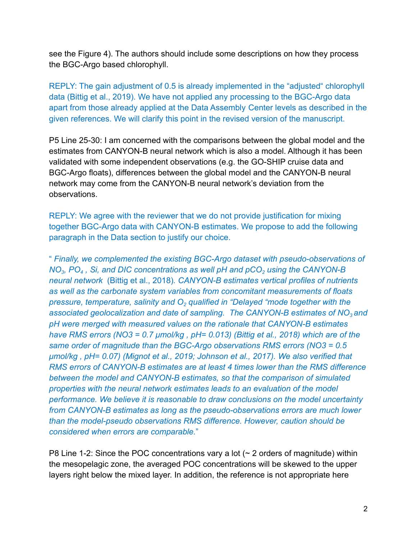see the Figure 4). The authors should include some descriptions on how they process the BGC-Argo based chlorophyll.

REPLY: The gain adjustment of 0.5 is already implemented in the "adjusted" chlorophyll data [\(Bittig et al., 2019\)](https://www.zotero.org/google-docs/?7pUV0f). We have not applied any processing to the BGC-Argo data apart from those already applied at the Data Assembly Center levels as described in the given references. We will clarify this point in the revised version of the manuscript.

P5 Line 25-30: I am concerned with the comparisons between the global model and the estimates from CANYON-B neural network which is also a model. Although it has been validated with some independent observations (e.g. the GO-SHIP cruise data and BGC-Argo floats), differences between the global model and the CANYON-B neural network may come from the CANYON-B neural network's deviation from the observations.

REPLY: We agree with the reviewer that we do not provide justification for mixing together BGC-Argo data with CANYON-B estimates. We propose to add the following paragraph in the Data section to justify our choice.

" *Finally, we complemented the existing BGC-Argo dataset with pseudo-observations of NO<sup>3</sup> , PO<sup>4</sup> , Si, and DIC concentrations as well pH and pCO<sup>2</sup> using the CANYON-B neural network* [\(Bittig et al., 2018\)](https://www.zotero.org/google-docs/?KJyCaw)*. CANYON-B estimates vertical profiles of nutrients as well as the carbonate system variables from concomitant measurements of floats pressure, temperature, salinity and O<sup>2</sup> qualified in "Delayed "mode together with the associated geolocalization and date of sampling. The CANYON-B estimates of NO<sup>3</sup> and pH were merged with measured values on the rationale that CANYON-B estimates have RMS errors (NO3 = 0.7 μmol/kg , pH= 0.013) (Bittig [et al., 2018\)](https://www.zotero.org/google-docs/?tUTt9e) which are of the same order of magnitude than the BGC-Argo observations RMS errors (NO3 = 0.5 μmol/kg , pH= 0.07) [\(Mignot et al., 2019; Johnson](https://www.zotero.org/google-docs/?gAMyXs) et al., 2017). We also verified that RMS errors of CANYON-B estimates are at least 4 times lower than the RMS difference between the model and CANYON-B estimates, so that the comparison of simulated properties with the neural network estimates leads to an evaluation of the model performance. We believe it is reasonable to draw conclusions on the model uncertainty from CANYON-B estimates as long as the pseudo-observations errors are much lower than the model-pseudo observations RMS difference. However, caution should be considered when errors are comparable.*"

P8 Line 1-2: Since the POC concentrations vary a lot  $($   $\sim$  2 orders of magnitude) within the mesopelagic zone, the averaged POC concentrations will be skewed to the upper layers right below the mixed layer. In addition, the reference is not appropriate here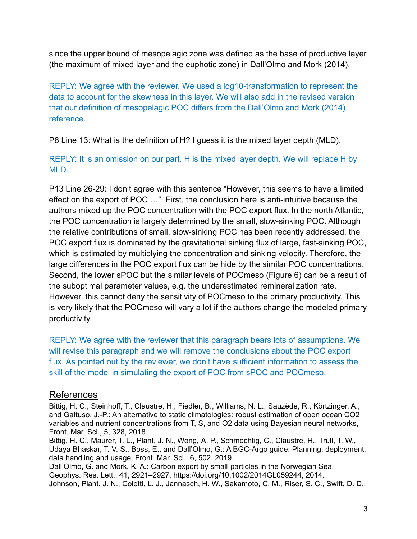since the upper bound of mesopelagic zone was defined as the base of productive layer (the maximum of mixed layer and the euphotic zone) in Dall'Olmo and Mork (2014).

REPLY: We agree with the reviewer. We used a log10-transformation to represent the data to account for the skewness in this layer. We will also add in the revised version that our definition of mesopelagic POC differs from the Dall'Olmo and Mork [\(2014\)](https://www.zotero.org/google-docs/?cM7Q5M) reference.

P8 Line 13: What is the definition of H? I guess it is the mixed layer depth (MLD).

REPLY: It is an omission on our part. H is the mixed layer depth. We will replace H by MLD.

P13 Line 26-29: I don't agree with this sentence "However, this seems to have a limited effect on the export of POC …". First, the conclusion here is anti-intuitive because the authors mixed up the POC concentration with the POC export flux. In the north Atlantic, the POC concentration is largely determined by the small, slow-sinking POC. Although the relative contributions of small, slow-sinking POC has been recently addressed, the POC export flux is dominated by the gravitational sinking flux of large, fast-sinking POC, which is estimated by multiplying the concentration and sinking velocity. Therefore, the large differences in the POC export flux can be hide by the similar POC concentrations. Second, the lower sPOC but the similar levels of POCmeso (Figure 6) can be a result of the suboptimal parameter values, e.g. the underestimated remineralization rate. However, this cannot deny the sensitivity of POCmeso to the primary productivity. This is very likely that the POCmeso will vary a lot if the authors change the modeled primary productivity.

REPLY: We agree with the reviewer that this paragraph bears lots of assumptions. We will revise this paragraph and we will remove the conclusions about the POC export flux. As pointed out by the reviewer, we don't have sufficient information to assess the skill of the model in simulating the export of POC from sPOC and POCmeso.

# References

Bittig, H. C., Steinhoff, T., Claustre, H., Fiedler, B., Williams, N. L., Sauzède, R., [Körtzinger,](https://www.zotero.org/google-docs/?drZWYm) A., and Gattuso, J.-P.: An alternative to static [climatologies:](https://www.zotero.org/google-docs/?drZWYm) robust estimation of open ocean CO2 variables and nutrient [concentrations](https://www.zotero.org/google-docs/?drZWYm) from T, S, and O2 data using Bayesian neural networks, [Front.](https://www.zotero.org/google-docs/?drZWYm) Mar. Sci., 5, 328, 2018.

Bittig, H. C., Maurer, T. L., Plant, J. N., Wong, A. P., [Schmechtig,](https://www.zotero.org/google-docs/?drZWYm) C., Claustre, H., Trull, T. W., Udaya Bhaskar, T. V. S., Boss, E., and Dall'Olmo, G.: A BGC-Argo guide: Planning, [deployment,](https://www.zotero.org/google-docs/?drZWYm) data [handling](https://www.zotero.org/google-docs/?drZWYm) and usage, Front. Mar. Sci., 6, 502, 2019.

Dall'Olmo, G. and Mork, K. A.: Carbon export by small particles in the [Norwegian](https://www.zotero.org/google-docs/?drZWYm) Sea, Geophys. Res. Lett., 41, 2921–2927, [https://doi.org/10.1002/2014GL059244,](https://www.zotero.org/google-docs/?drZWYm) 2014. Johnson, Plant, J. N., Coletti, L. J., Jannasch, H. W., [Sakamoto,](https://www.zotero.org/google-docs/?drZWYm) C. M., Riser, S. C., Swift, D. D.,